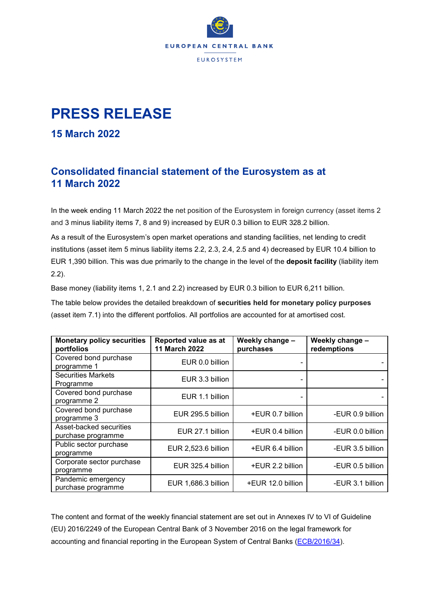

## **PRESS RELEASE**

## **15 March 2022**

## **Consolidated financial statement of the Eurosystem as at 11 March 2022**

In the week ending 11 March 2022 the net position of the Eurosystem in foreign currency (asset items 2 and 3 minus liability items 7, 8 and 9) increased by EUR 0.3 billion to EUR 328.2 billion.

As a result of the Eurosystem's open market operations and standing facilities, net lending to credit institutions (asset item 5 minus liability items 2.2, 2.3, 2.4, 2.5 and 4) decreased by EUR 10.4 billion to EUR 1,390 billion. This was due primarily to the change in the level of the **deposit facility** (liability item 2.2).

Base money (liability items 1, 2.1 and 2.2) increased by EUR 0.3 billion to EUR 6,211 billion.

The table below provides the detailed breakdown of **securities held for monetary policy purposes** (asset item 7.1) into the different portfolios. All portfolios are accounted for at amortised cost.

| <b>Monetary policy securities</b><br>portfolios | Reported value as at<br>11 March 2022 | Weekly change -<br>purchases | Weekly change -<br>redemptions |
|-------------------------------------------------|---------------------------------------|------------------------------|--------------------------------|
| Covered bond purchase<br>programme 1            | EUR 0.0 billion                       |                              |                                |
| <b>Securities Markets</b><br>Programme          | EUR 3.3 billion                       |                              |                                |
| Covered bond purchase<br>programme 2            | EUR 1.1 billion                       |                              |                                |
| Covered bond purchase<br>programme 3            | EUR 295.5 billion                     | +EUR 0.7 billion             | -EUR 0.9 billion               |
| Asset-backed securities<br>purchase programme   | EUR 27.1 billion                      | +EUR 0.4 billion             | -EUR 0.0 billion               |
| Public sector purchase<br>programme             | EUR 2,523.6 billion                   | +EUR 6.4 billion             | -EUR 3.5 billion               |
| Corporate sector purchase<br>programme          | EUR 325.4 billion                     | +EUR 2.2 billion             | -EUR 0.5 billion               |
| Pandemic emergency<br>purchase programme        | EUR 1,686.3 billion                   | +EUR 12.0 billion            | -EUR 3.1 billion               |

The content and format of the weekly financial statement are set out in Annexes IV to VI of Guideline (EU) 2016/2249 of the European Central Bank of 3 November 2016 on the legal framework for accounting and financial reporting in the European System of Central Banks [\(ECB/2016/34\)](https://eur-lex.europa.eu/legal-content/EN/TXT/?qid=1599130224518&uri=CELEX:32016O0034).